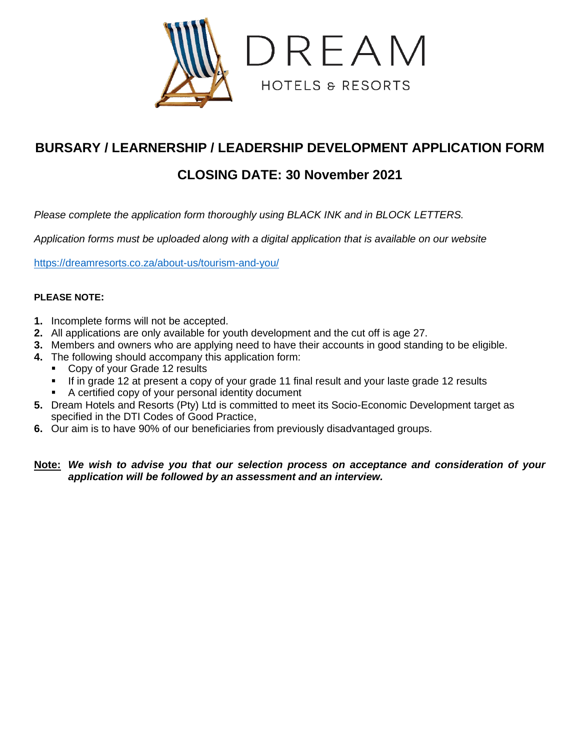

# **BURSARY / LEARNERSHIP / LEADERSHIP DEVELOPMENT APPLICATION FORM**

# **CLOSING DATE: 30 November 2021**

*Please complete the application form thoroughly using BLACK INK and in BLOCK LETTERS.*

*Application forms must be uploaded along with a digital application that is available on our website* 

<https://dreamresorts.co.za/about-us/tourism-and-you/>

### **PLEASE NOTE:**

- **1.** Incomplete forms will not be accepted.
- **2.** All applications are only available for youth development and the cut off is age 27.
- **3.** Members and owners who are applying need to have their accounts in good standing to be eligible.
- **4.** The following should accompany this application form:
	- Copy of your Grade 12 results
		- If in grade 12 at present a copy of your grade 11 final result and your laste grade 12 results
	- A certified copy of your personal identity document
- **5.** Dream Hotels and Resorts (Pty) Ltd is committed to meet its Socio-Economic Development target as specified in the DTI Codes of Good Practice,
- **6.** Our aim is to have 90% of our beneficiaries from previously disadvantaged groups.

## **Note:** *We wish to advise you that our selection process on acceptance and consideration of your application will be followed by an assessment and an interview.*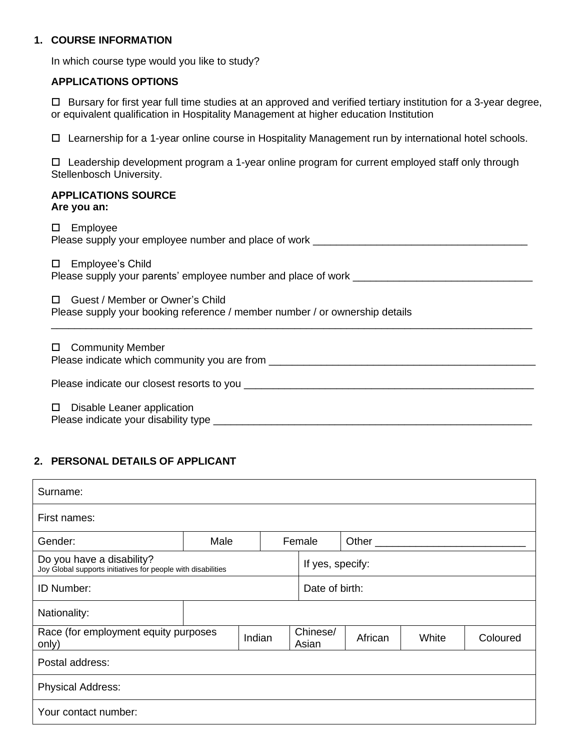### **1. COURSE INFORMATION**

In which course type would you like to study?

### **APPLICATIONS OPTIONS**

 Bursary for first year full time studies at an approved and verified tertiary institution for a 3-year degree, or equivalent qualification in Hospitality Management at higher education Institution

Learnership for a 1-year online course in Hospitality Management run by international hotel schools.

 $\Box$  Leadership development program a 1-year online program for current employed staff only through Stellenbosch University.

#### **APPLICATIONS SOURCE Are you an:**

| Employee<br>□<br>Please supply your employee number and place of work _________                                     |
|---------------------------------------------------------------------------------------------------------------------|
| Employee's Child<br>$\Box$<br>Please supply your parents' employee number and place of work                         |
| Guest / Member or Owner's Child<br>П<br>Please supply your booking reference / member number / or ownership details |
| <b>Community Member</b><br>□<br>Please indicate which community you are from ___________________________________    |
|                                                                                                                     |
| Disable Leaner application<br>$\Box$<br>Please indicate your disability type                                        |

# **2. PERSONAL DETAILS OF APPLICANT**

| Surname:                                                                                  |      |        |  |                   |         |       |          |
|-------------------------------------------------------------------------------------------|------|--------|--|-------------------|---------|-------|----------|
| First names:                                                                              |      |        |  |                   |         |       |          |
| Gender:                                                                                   | Male |        |  | Female            | Other   |       |          |
| Do you have a disability?<br>Joy Global supports initiatives for people with disabilities |      |        |  | If yes, specify:  |         |       |          |
| <b>ID Number:</b>                                                                         |      |        |  | Date of birth:    |         |       |          |
| Nationality:                                                                              |      |        |  |                   |         |       |          |
| Race (for employment equity purposes<br>only)                                             |      | Indian |  | Chinese/<br>Asian | African | White | Coloured |
| Postal address:                                                                           |      |        |  |                   |         |       |          |
| <b>Physical Address:</b>                                                                  |      |        |  |                   |         |       |          |
| Your contact number:                                                                      |      |        |  |                   |         |       |          |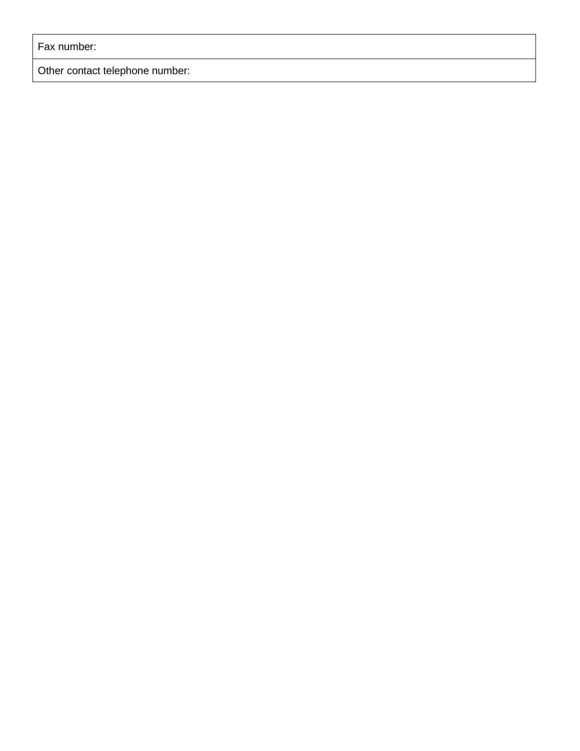Fax number:

Other contact telephone number: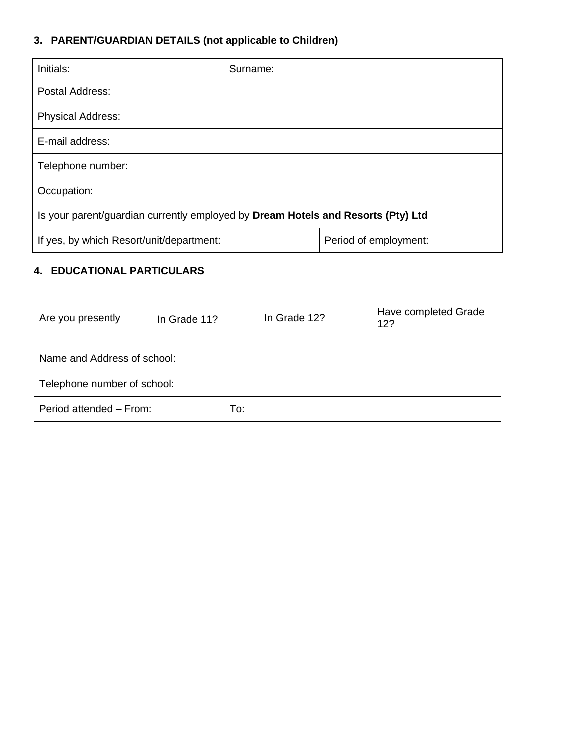# **3. PARENT/GUARDIAN DETAILS (not applicable to Children)**

| Initials:                                                                        | Surname: |                       |  |  |
|----------------------------------------------------------------------------------|----------|-----------------------|--|--|
| Postal Address:                                                                  |          |                       |  |  |
| <b>Physical Address:</b>                                                         |          |                       |  |  |
| E-mail address:                                                                  |          |                       |  |  |
| Telephone number:                                                                |          |                       |  |  |
| Occupation:                                                                      |          |                       |  |  |
| Is your parent/guardian currently employed by Dream Hotels and Resorts (Pty) Ltd |          |                       |  |  |
| If yes, by which Resort/unit/department:                                         |          | Period of employment: |  |  |

# **4. EDUCATIONAL PARTICULARS**

| Are you presently           | In Grade 11? | In Grade 12? | Have completed Grade<br>12? |  |  |  |
|-----------------------------|--------------|--------------|-----------------------------|--|--|--|
| Name and Address of school: |              |              |                             |  |  |  |
| Telephone number of school: |              |              |                             |  |  |  |
| Period attended - From:     | To:          |              |                             |  |  |  |